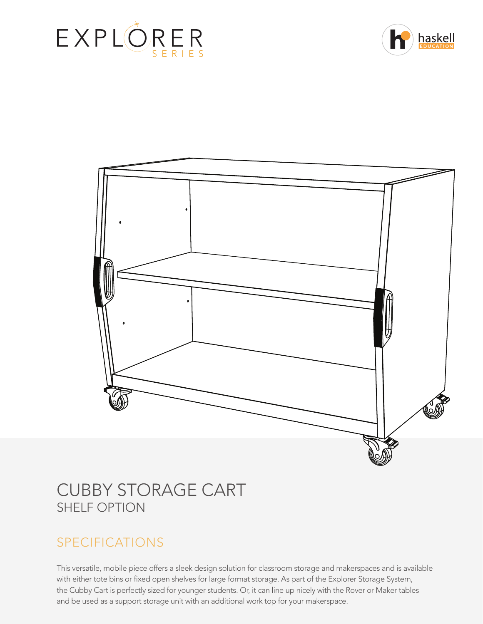





# CUBBY STORAGE CART SHELF OPTION

# SPECIFICATIONS

This versatile, mobile piece offers a sleek design solution for classroom storage and makerspaces and is available with either tote bins or fixed open shelves for large format storage. As part of the Explorer Storage System, the Cubby Cart is perfectly sized for younger students. Or, it can line up nicely with the Rover or Maker tables and be used as a support storage unit with an additional work top for your makerspace.